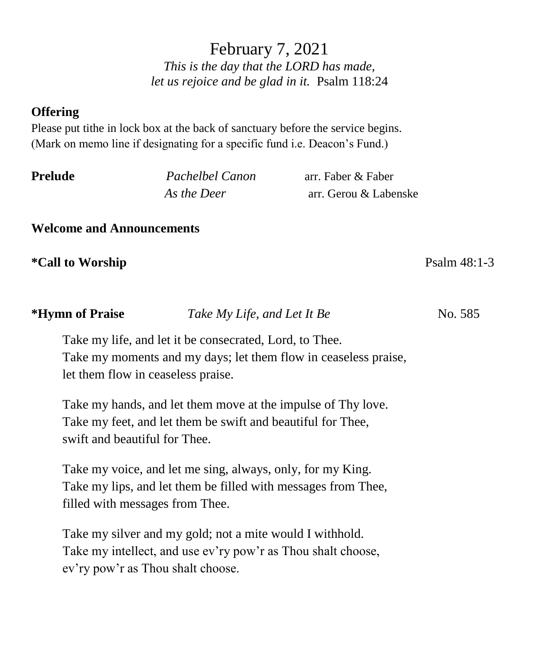February 7, 2021 *This is the day that the LORD has made, let us rejoice and be glad in it.* Psalm 118:24

## **Offering**

Please put tithe in lock box at the back of sanctuary before the service begins. (Mark on memo line if designating for a specific fund i.e. Deacon's Fund.)

| Prelude | Pachelbel Canon | arr. Faber & Faber    |  |
|---------|-----------------|-----------------------|--|
|         | As the Deer     | arr. Gerou & Labenske |  |

**Welcome and Announcements**

swift and beautiful for Thee.

**\*Call to Worship** Psalm 48:1-3

| $\sim$                             | $\frac{1}{2}$ and $\frac{1}{2}$ $\frac{1}{2}$ $\frac{1}{2}$ $\frac{1}{2}$ $\frac{1}{2}$ $\frac{1}{2}$ $\frac{1}{2}$ $\frac{1}{2}$ |  |
|------------------------------------|-----------------------------------------------------------------------------------------------------------------------------------|--|
|                                    | Take my life, and let it be consecrated, Lord, to Thee.                                                                           |  |
|                                    | Take my moments and my days; let them flow in ceaseless praise,                                                                   |  |
| let them flow in ceaseless praise. |                                                                                                                                   |  |
|                                    |                                                                                                                                   |  |
|                                    | Take my hands, and let them move at the impulse of Thy love.                                                                      |  |
|                                    | Take my feet, and let them be swift and beautiful for Thee,                                                                       |  |

**\*Hymn of Praise** *Take My Life, and Let It Be* No. 585

Take my voice, and let me sing, always, only, for my King. Take my lips, and let them be filled with messages from Thee, filled with messages from Thee.

Take my silver and my gold; not a mite would I withhold. Take my intellect, and use ev'ry pow'r as Thou shalt choose, ev'ry pow'r as Thou shalt choose.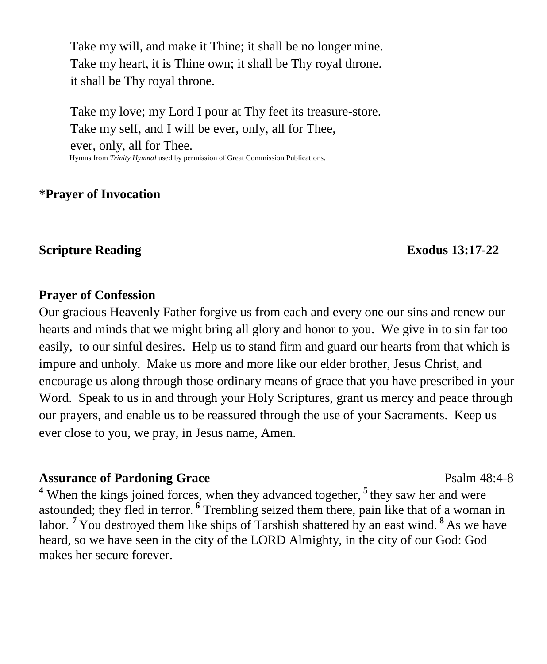Take my will, and make it Thine; it shall be no longer mine. Take my heart, it is Thine own; it shall be Thy royal throne. it shall be Thy royal throne.

Take my love; my Lord I pour at Thy feet its treasure-store. Take my self, and I will be ever, only, all for Thee, ever, only, all for Thee. Hymns from *Trinity Hymnal* used by permission of Great Commission Publications.

#### **\*Prayer of Invocation**

#### **Scripture Reading Exodus** 13:17-22

#### **Prayer of Confession**

Our gracious Heavenly Father forgive us from each and every one our sins and renew our hearts and minds that we might bring all glory and honor to you. We give in to sin far too easily, to our sinful desires. Help us to stand firm and guard our hearts from that which is impure and unholy. Make us more and more like our elder brother, Jesus Christ, and encourage us along through those ordinary means of grace that you have prescribed in your Word. Speak to us in and through your Holy Scriptures, grant us mercy and peace through our prayers, and enable us to be reassured through the use of your Sacraments. Keep us ever close to you, we pray, in Jesus name, Amen.

#### **Assurance of Pardoning Grace** Psalm 48:4-8

<sup>4</sup> When the kings joined forces, when they advanced together, <sup>5</sup> they saw her and were astounded; they fled in terror. **<sup>6</sup>** Trembling seized them there, pain like that of a woman in labor. **<sup>7</sup>**You destroyed them like ships of Tarshish shattered by an east wind. **<sup>8</sup>** As we have heard, so we have seen in the city of the LORD Almighty, in the city of our God: God makes her secure forever.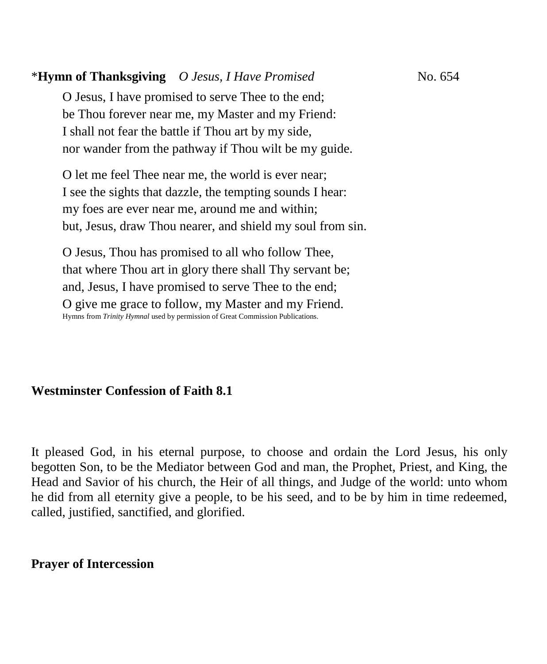## \***Hymn of Thanksgiving** *O Jesus, I Have Promised*No. 654

O Jesus, I have promised to serve Thee to the end; be Thou forever near me, my Master and my Friend: I shall not fear the battle if Thou art by my side, nor wander from the pathway if Thou wilt be my guide.

O let me feel Thee near me, the world is ever near; I see the sights that dazzle, the tempting sounds I hear: my foes are ever near me, around me and within; but, Jesus, draw Thou nearer, and shield my soul from sin.

O Jesus, Thou has promised to all who follow Thee, that where Thou art in glory there shall Thy servant be; and, Jesus, I have promised to serve Thee to the end; O give me grace to follow, my Master and my Friend. Hymns from *Trinity Hymnal* used by permission of Great Commission Publications. 

# **Westminster Confession of Faith 8.1**

It pleased God, in his eternal purpose, to choose and ordain the Lord Jesus, his only begotten Son, to be the Mediator between God and man, the Prophet, Priest, and King, the Head and Savior of his church, the Heir of all things, and Judge of the world: unto whom he did from all eternity give a people, to be his seed, and to be by him in time redeemed, called, justified, sanctified, and glorified.

#### **Prayer of Intercession**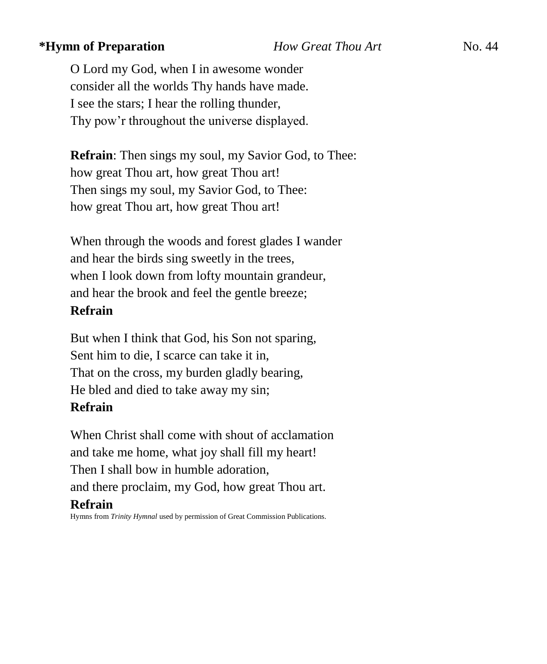#### **\*Hymn of Preparation** *How Great Thou Art* **<b>No. 44**

O Lord my God, when I in awesome wonder consider all the worlds Thy hands have made. I see the stars; I hear the rolling thunder, Thy pow'r throughout the universe displayed.

**Refrain**: Then sings my soul, my Savior God, to Thee: how great Thou art, how great Thou art! Then sings my soul, my Savior God, to Thee: how great Thou art, how great Thou art!

When through the woods and forest glades I wander and hear the birds sing sweetly in the trees, when I look down from lofty mountain grandeur, and hear the brook and feel the gentle breeze;

#### **Refrain**

But when I think that God, his Son not sparing, Sent him to die, I scarce can take it in, That on the cross, my burden gladly bearing, He bled and died to take away my sin; **Refrain**

When Christ shall come with shout of acclamation and take me home, what joy shall fill my heart! Then I shall bow in humble adoration, and there proclaim, my God, how great Thou art. **Refrain**

Hymns from *Trinity Hymnal* used by permission of Great Commission Publications.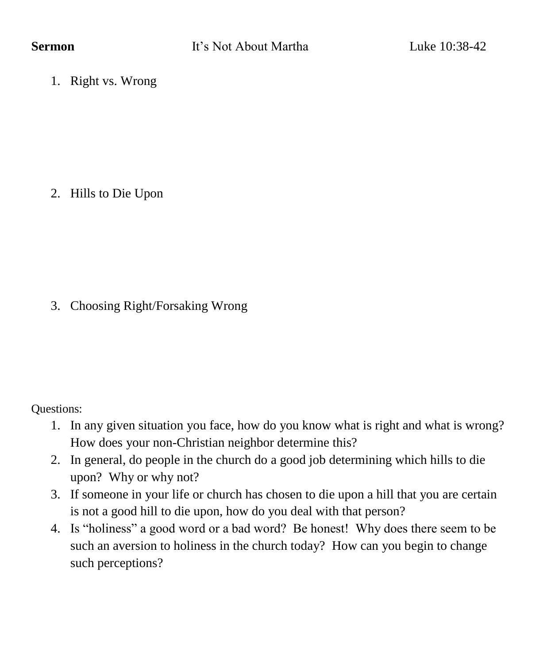1. Right vs. Wrong

2. Hills to Die Upon

# 3. Choosing Right/Forsaking Wrong

Questions:

- 1. In any given situation you face, how do you know what is right and what is wrong? How does your non-Christian neighbor determine this?
- 2. In general, do people in the church do a good job determining which hills to die upon? Why or why not?
- 3. If someone in your life or church has chosen to die upon a hill that you are certain is not a good hill to die upon, how do you deal with that person?
- 4. Is "holiness" a good word or a bad word? Be honest! Why does there seem to be such an aversion to holiness in the church today? How can you begin to change such perceptions?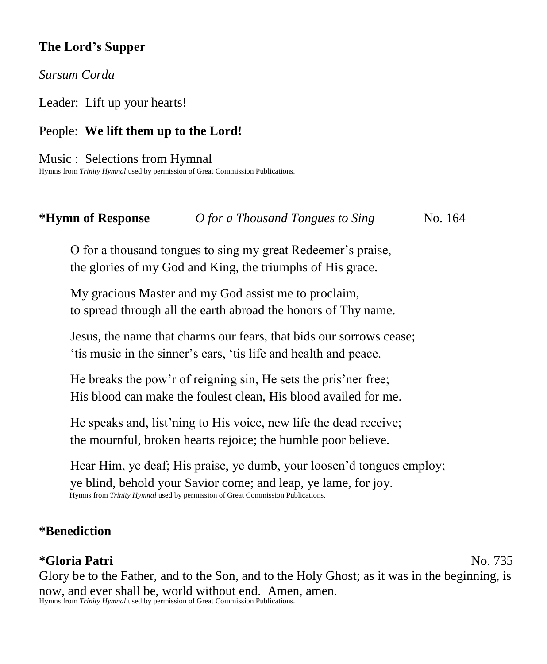# **The Lord's Supper**

*Sursum Corda*

Leader: Lift up your hearts!

# People: **We lift them up to the Lord!**

Music : Selections from Hymnal Hymns from *Trinity Hymnal* used by permission of Great Commission Publications.

### **\*Hymn of Response** *O for a Thousand Tongues to Sing* No. 164

O for a thousand tongues to sing my great Redeemer's praise, the glories of my God and King, the triumphs of His grace.

My gracious Master and my God assist me to proclaim, to spread through all the earth abroad the honors of Thy name.

Jesus, the name that charms our fears, that bids our sorrows cease; 'tis music in the sinner's ears, 'tis life and health and peace.

He breaks the pow'r of reigning sin, He sets the pris'ner free; His blood can make the foulest clean, His blood availed for me.

He speaks and, list'ning to His voice, new life the dead receive; the mournful, broken hearts rejoice; the humble poor believe.

Hear Him, ye deaf; His praise, ye dumb, your loosen'd tongues employ; ye blind, behold your Savior come; and leap, ye lame, for joy. Hymns from *Trinity Hymnal* used by permission of Great Commission Publications.

### **\*Benediction**

## **\*Gloria Patri** No. 735

Glory be to the Father, and to the Son, and to the Holy Ghost; as it was in the beginning, is now, and ever shall be, world without end. Amen, amen. Hymns from *Trinity Hymnal* used by permission of Great Commission Publications.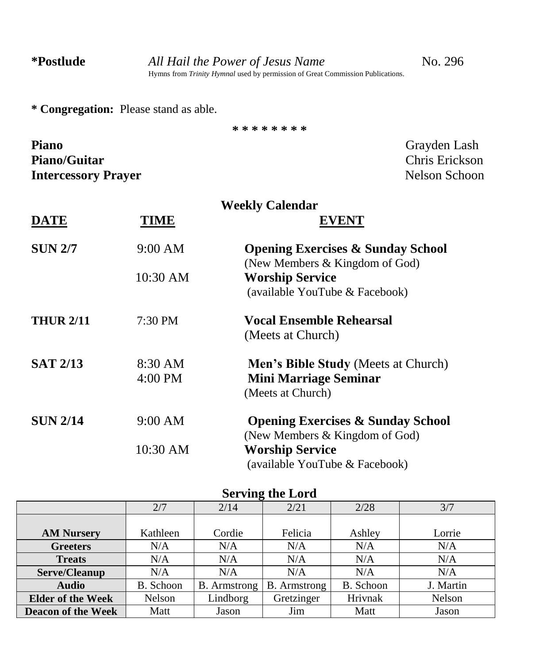**\* \* \* \* \* \* \* \***

**\* Congregation:** Please stand as able.

| <b>Piano</b>               | Grayden Lash   |
|----------------------------|----------------|
| <b>Piano/Guitar</b>        | Chris Erickson |
| <b>Intercessory Prayer</b> | Nelson Schoon  |

|                  | <b>Weekly Calendar</b> |                                                                                                 |  |
|------------------|------------------------|-------------------------------------------------------------------------------------------------|--|
| <b>DATE</b>      | TIME                   | <b>EVENT</b>                                                                                    |  |
| <b>SUN 2/7</b>   | 9:00 AM                | <b>Opening Exercises &amp; Sunday School</b><br>(New Members & Kingdom of God)                  |  |
|                  | 10:30 AM               | <b>Worship Service</b><br>(available YouTube & Facebook)                                        |  |
| <b>THUR 2/11</b> | 7:30 PM                | <b>Vocal Ensemble Rehearsal</b><br>(Meets at Church)                                            |  |
| <b>SAT 2/13</b>  | 8:30 AM<br>4:00 PM     | <b>Men's Bible Study (Meets at Church)</b><br><b>Mini Marriage Seminar</b><br>(Meets at Church) |  |
| <b>SUN 2/14</b>  | 9:00 AM                | <b>Opening Exercises &amp; Sunday School</b><br>(New Members & Kingdom of God)                  |  |
|                  | 10:30 AM               | <b>Worship Service</b><br>(available YouTube & Facebook)                                        |  |

# **Serving the Lord**

|                           | 2/7       | 2/14                | 2/21                | 2/28      | 3/7       |
|---------------------------|-----------|---------------------|---------------------|-----------|-----------|
|                           |           |                     |                     |           |           |
| <b>AM Nursery</b>         | Kathleen  | Cordie              | Felicia             | Ashley    | Lorrie    |
| <b>Greeters</b>           | N/A       | N/A                 | N/A                 | N/A       | N/A       |
| <b>Treats</b>             | N/A       | N/A                 | N/A                 | N/A       | N/A       |
| Serve/Cleanup             | N/A       | N/A                 | N/A                 | N/A       | N/A       |
| <b>Audio</b>              | B. Schoon | <b>B.</b> Armstrong | <b>B.</b> Armstrong | B. Schoon | J. Martin |
| <b>Elder of the Week</b>  | Nelson    | Lindborg            | Gretzinger          | Hrivnak   | Nelson    |
| <b>Deacon of the Week</b> | Matt      | Jason               | Jim                 | Matt      | Jason     |